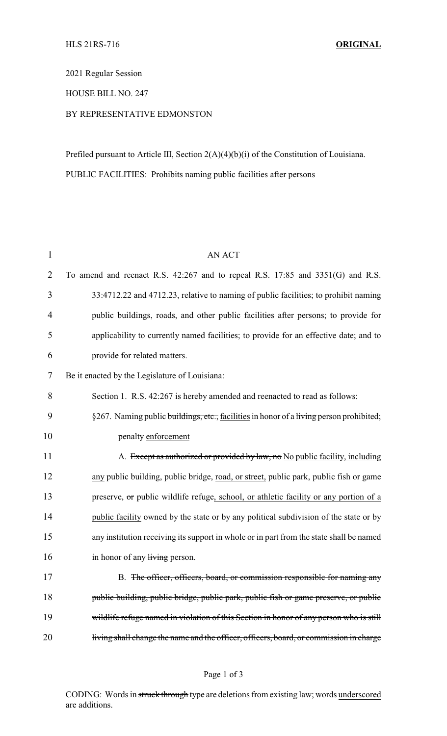2021 Regular Session

HOUSE BILL NO. 247

## BY REPRESENTATIVE EDMONSTON

Prefiled pursuant to Article III, Section 2(A)(4)(b)(i) of the Constitution of Louisiana. PUBLIC FACILITIES: Prohibits naming public facilities after persons

| $\mathbf{1}$   | <b>AN ACT</b>                                                                           |
|----------------|-----------------------------------------------------------------------------------------|
| $\overline{2}$ | To amend and reenact R.S. 42:267 and to repeal R.S. 17:85 and 3351(G) and R.S.          |
| 3              | 33:4712.22 and 4712.23, relative to naming of public facilities; to prohibit naming     |
| $\overline{4}$ | public buildings, roads, and other public facilities after persons; to provide for      |
| 5              | applicability to currently named facilities; to provide for an effective date; and to   |
| 6              | provide for related matters.                                                            |
| 7              | Be it enacted by the Legislature of Louisiana:                                          |
| 8              | Section 1. R.S. 42:267 is hereby amended and reenacted to read as follows:              |
| 9              | §267. Naming public buildings, etc., facilities in honor of a living person prohibited; |
| 10             | penalty enforcement                                                                     |
| 11             | A. Except as authorized or provided by law, no No public facility, including            |
| 12             | any public building, public bridge, road, or street, public park, public fish or game   |
| 13             | preserve, or public wildlife refuge, school, or athletic facility or any portion of a   |
| 14             | public facility owned by the state or by any political subdivision of the state or by   |
| 15             | any institution receiving its support in whole or in part from the state shall be named |
| 16             | in honor of any living person.                                                          |
| 17             | B. The officer, officers, board, or commission responsible for naming any               |
| 18             | public building, public bridge, public park, public fish or game preserve, or public    |
| 19             | wildlife refuge named in violation of this Section in honor of any person who is still  |
| 20             | living shall change the name and the officer, officers, board, or commission in charge  |
|                |                                                                                         |

CODING: Words in struck through type are deletions from existing law; words underscored are additions.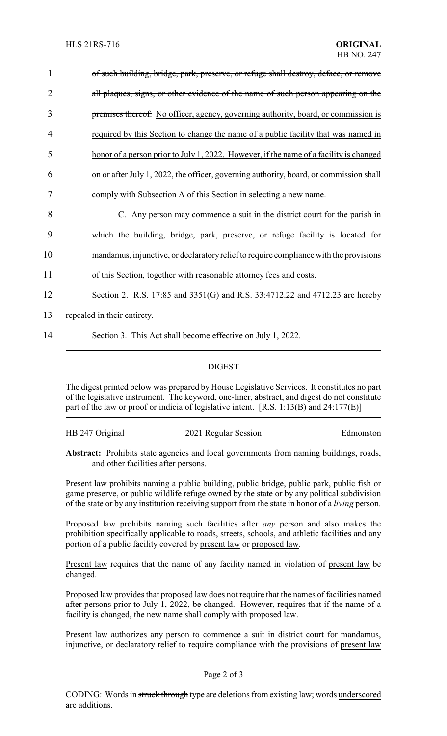| $\mathbf{1}$ | of such building, bridge, park, preserve, or refuge shall destroy, deface, or remove   |
|--------------|----------------------------------------------------------------------------------------|
| 2            | all plaques, signs, or other evidence of the name of such person appearing on the      |
| 3            | premises thereof. No officer, agency, governing authority, board, or commission is     |
| 4            | required by this Section to change the name of a public facility that was named in     |
| 5            | honor of a person prior to July 1, 2022. However, if the name of a facility is changed |
| 6            | on or after July 1, 2022, the officer, governing authority, board, or commission shall |
| 7            | comply with Subsection A of this Section in selecting a new name.                      |
| 8            | C. Any person may commence a suit in the district court for the parish in              |
| 9            | which the building, bridge, park, preserve, or refuge facility is located for          |
| 10           | mandamus, injunctive, or declaratory relief to require compliance with the provisions  |
| 11           | of this Section, together with reasonable attorney fees and costs.                     |
| 12           | Section 2. R.S. 17:85 and 3351(G) and R.S. 33:4712.22 and 4712.23 are hereby           |
| 13           | repealed in their entirety.                                                            |
| 14           | Section 3. This Act shall become effective on July 1, 2022.                            |

## DIGEST

The digest printed below was prepared by House Legislative Services. It constitutes no part of the legislative instrument. The keyword, one-liner, abstract, and digest do not constitute part of the law or proof or indicia of legislative intent. [R.S. 1:13(B) and 24:177(E)]

HB 247 Original 2021 Regular Session Edmonston

Abstract: Prohibits state agencies and local governments from naming buildings, roads, and other facilities after persons.

Present law prohibits naming a public building, public bridge, public park, public fish or game preserve, or public wildlife refuge owned by the state or by any political subdivision of the state or by any institution receiving support from the state in honor of a *living* person.

Proposed law prohibits naming such facilities after *any* person and also makes the prohibition specifically applicable to roads, streets, schools, and athletic facilities and any portion of a public facility covered by present law or proposed law.

Present law requires that the name of any facility named in violation of present law be changed.

Proposed law provides that proposed law does not require that the names of facilities named after persons prior to July 1, 2022, be changed. However, requires that if the name of a facility is changed, the new name shall comply with proposed law.

Present law authorizes any person to commence a suit in district court for mandamus, injunctive, or declaratory relief to require compliance with the provisions of present law